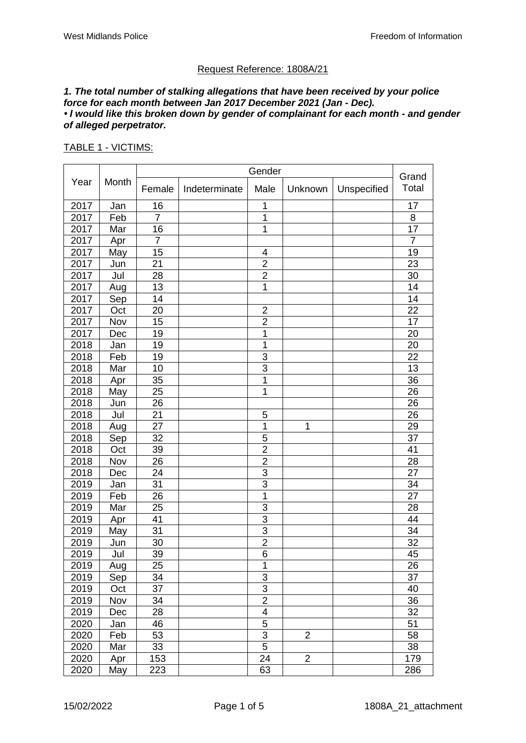## Request Reference: 1808A/21

#### *1. The total number of stalking allegations that have been received by your police force for each month between Jan 2017 December 2021 (Jan - Dec). • I would like this broken down by gender of complainant for each month - and gender of alleged perpetrator.*

#### TABLE 1 - VICTIMS:

|      |       |                |               | Gender                  |                |             | Grand          |
|------|-------|----------------|---------------|-------------------------|----------------|-------------|----------------|
| Year | Month | Female         | Indeterminate | Male                    | Unknown        | Unspecified | Total          |
| 2017 | Jan   | 16             |               | 1                       |                |             | 17             |
| 2017 | Feb   | $\overline{7}$ |               | 1                       |                |             | 8              |
| 2017 | Mar   | 16             |               | 1                       |                |             | 17             |
| 2017 | Apr   | $\overline{7}$ |               |                         |                |             | $\overline{7}$ |
| 2017 | May   | 15             |               | 4                       |                |             | 19             |
| 2017 | Jun   | 21             |               | $\overline{2}$          |                |             | 23             |
| 2017 | Jul   | 28             |               | $\overline{c}$          |                |             | 30             |
| 2017 | Aug   | 13             |               | 1                       |                |             | 14             |
| 2017 | Sep   | 14             |               |                         |                |             | 14             |
| 2017 | Oct   | 20             |               | $\overline{2}$          |                |             | 22             |
| 2017 | Nov   | 15             |               | $\overline{2}$          |                |             | 17             |
| 2017 | Dec   | 19             |               | 1                       |                |             | 20             |
| 2018 | Jan   | 19             |               | 1                       |                |             | 20             |
| 2018 | Feb   | 19             |               | 3                       |                |             | 22             |
| 2018 | Mar   | 10             |               | $\overline{3}$          |                |             | 13             |
| 2018 | Apr   | 35             |               | 1                       |                |             | 36             |
| 2018 | May   | 25             |               | 1                       |                |             | 26             |
| 2018 | Jun   | 26             |               |                         |                |             | 26             |
| 2018 | Jul   | 21             |               | 5                       |                |             | 26             |
| 2018 | Aug   | 27             |               | 1                       | 1              |             | 29             |
| 2018 | Sep   | 32             |               | 5                       |                |             | 37             |
| 2018 | Oct   | 39             |               | $\overline{\mathbf{c}}$ |                |             | 41             |
| 2018 | Nov   | 26             |               | $\overline{c}$          |                |             | 28             |
| 2018 | Dec   | 24             |               | 3                       |                |             | 27             |
| 2019 | Jan   | 31             |               | 3                       |                |             | 34             |
| 2019 | Feb   | 26             |               | 1                       |                |             | 27             |
| 2019 | Mar   | 25             |               | 3                       |                |             | 28             |
| 2019 | Apr   | 41             |               | $\overline{3}$          |                |             | 44             |
| 2019 | May   | 31             |               | 3                       |                |             | 34             |
| 2019 | Jun   | 30             |               | $\overline{2}$          |                |             | 32             |
| 2019 | Jul   | 39             |               | 6                       |                |             | 45             |
| 2019 | Aug   | 25             |               | 1                       |                |             | 26             |
| 2019 | Sep   | 34             |               | 3                       |                |             | 37             |
| 2019 | Oct   | 37             |               | $\overline{3}$          |                |             | 40             |
| 2019 | Nov   | 34             |               | $\overline{c}$          |                |             | 36             |
| 2019 | Dec   | 28             |               | $\overline{\mathbf{4}}$ |                |             | 32             |
| 2020 | Jan   | 46             |               | 5                       |                |             | 51             |
| 2020 | Feb   | 53             |               | 3                       | $\overline{2}$ |             | 58             |
| 2020 | Mar   | 33             |               | $\overline{5}$          |                |             | 38             |
| 2020 | Apr   | 153            |               | 24                      | $\overline{2}$ |             | 179            |
| 2020 | May   | 223            |               | 63                      |                |             | 286            |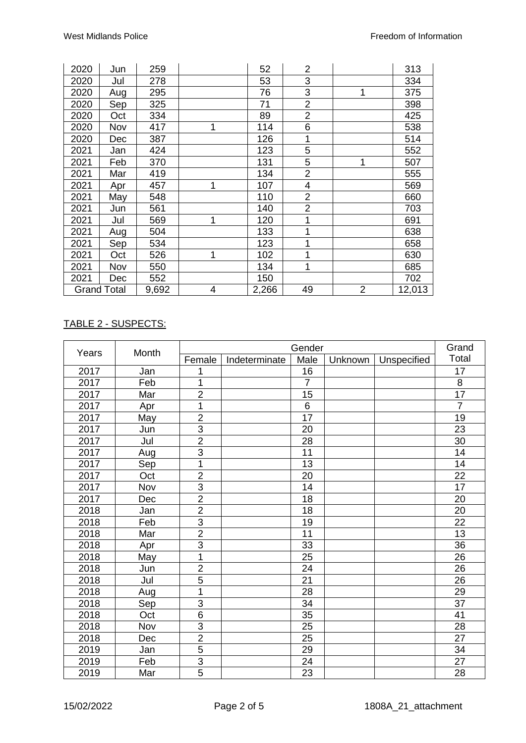| 2020 | Jun                | 259   |   | 52    | 2              |                | 313    |
|------|--------------------|-------|---|-------|----------------|----------------|--------|
| 2020 | Jul                | 278   |   | 53    | 3              |                | 334    |
| 2020 | Aug                | 295   |   | 76    | 3              | 1              | 375    |
| 2020 | Sep                | 325   |   | 71    | $\overline{2}$ |                | 398    |
| 2020 | Oct                | 334   |   | 89    | $\overline{2}$ |                | 425    |
| 2020 | Nov                | 417   | 1 | 114   | 6              |                | 538    |
| 2020 | Dec                | 387   |   | 126   | 1              |                | 514    |
| 2021 | Jan                | 424   |   | 123   | 5              |                | 552    |
| 2021 | Feb                | 370   |   | 131   | 5              | 1              | 507    |
| 2021 | Mar                | 419   |   | 134   | $\overline{2}$ |                | 555    |
| 2021 | Apr                | 457   | 1 | 107   | 4              |                | 569    |
| 2021 | May                | 548   |   | 110   | $\overline{2}$ |                | 660    |
| 2021 | Jun                | 561   |   | 140   | $\overline{2}$ |                | 703    |
| 2021 | Jul                | 569   | 1 | 120   | 1              |                | 691    |
| 2021 | Aug                | 504   |   | 133   | 1              |                | 638    |
| 2021 | Sep                | 534   |   | 123   | 1              |                | 658    |
| 2021 | Oct                | 526   | 1 | 102   | 1              |                | 630    |
| 2021 | Nov                | 550   |   | 134   | 1              |                | 685    |
| 2021 | Dec                | 552   |   | 150   |                |                | 702    |
|      | <b>Grand Total</b> | 9,692 | 4 | 2,266 | 49             | $\overline{2}$ | 12,013 |

# TABLE 2 - SUSPECTS:

| Years | Month |                |               | Gender          |         | Grand       |                 |
|-------|-------|----------------|---------------|-----------------|---------|-------------|-----------------|
|       |       | Female         | Indeterminate | Male            | Unknown | Unspecified | Total           |
| 2017  | Jan   | 1              |               | 16              |         |             | 17              |
| 2017  | Feb   | 1              |               | $\overline{7}$  |         |             | $\bf 8$         |
| 2017  | Mar   | $\overline{2}$ |               | 15              |         |             | $\overline{17}$ |
| 2017  | Apr   | 1              |               | $6\phantom{1}6$ |         |             | $\overline{7}$  |
| 2017  | May   | $\overline{2}$ |               | 17              |         |             | 19              |
| 2017  | Jun   | $\overline{3}$ |               | 20              |         |             | 23              |
| 2017  | Jul   | $\overline{2}$ |               | 28              |         |             | 30              |
| 2017  | Aug   | $\overline{3}$ |               | 11              |         |             | 14              |
| 2017  | Sep   | $\overline{1}$ |               | 13              |         |             | 14              |
| 2017  | Oct   | $\overline{2}$ |               | 20              |         |             | 22              |
| 2017  | Nov   | $\overline{3}$ |               | 14              |         |             | 17              |
| 2017  | Dec   | $\overline{2}$ |               | 18              |         |             | 20              |
| 2018  | Jan   | $\overline{2}$ |               | 18              |         |             | 20              |
| 2018  | Feb   | $\overline{3}$ |               | 19              |         |             | 22              |
| 2018  | Mar   | $\overline{2}$ |               | 11              |         |             | 13              |
| 2018  | Apr   | $\overline{3}$ |               | 33              |         |             | 36              |
| 2018  | May   | $\overline{1}$ |               | 25              |         |             | 26              |
| 2018  | Jun   | $\overline{2}$ |               | 24              |         |             | 26              |
| 2018  | Jul   | $\overline{5}$ |               | 21              |         |             | 26              |
| 2018  | Aug   | 1              |               | 28              |         |             | 29              |
| 2018  | Sep   | $\overline{3}$ |               | 34              |         |             | $\overline{37}$ |
| 2018  | Oct   | $\overline{6}$ |               | 35              |         |             | 41              |
| 2018  | Nov   | $\overline{3}$ |               | 25              |         |             | 28              |
| 2018  | Dec   | $\overline{2}$ |               | 25              |         |             | 27              |
| 2019  | Jan   | $\overline{5}$ |               | 29              |         |             | 34              |
| 2019  | Feb   | $\overline{3}$ |               | 24              |         |             | 27              |
| 2019  | Mar   | $\overline{5}$ |               | 23              |         |             | 28              |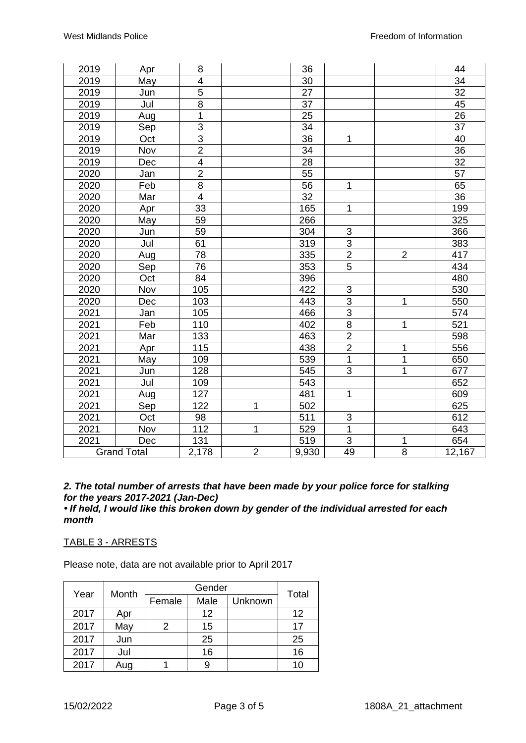| 2019               | Apr | 8                       |                | 36              |                |                | 44              |
|--------------------|-----|-------------------------|----------------|-----------------|----------------|----------------|-----------------|
| 2019               | May | $\overline{4}$          |                | 30              |                |                | 34              |
| 2019               | Jun | $\overline{5}$          |                | 27              |                |                | 32              |
| 2019               | Jul | $\overline{8}$          |                | 37              |                |                | 45              |
| 2019               | Aug | 1                       |                | 25              |                |                | 26              |
| 2019               | Sep | $\frac{3}{2}$           |                | $\overline{34}$ |                |                | $\overline{37}$ |
| 2019               | Oct |                         |                | 36              | $\mathbf 1$    |                | 40              |
| 2019               | Nov |                         |                | 34              |                |                | 36              |
| 2019               | Dec | $\overline{\mathbf{4}}$ |                | 28              |                |                | 32              |
| 2020               | Jan | $\overline{2}$          |                | 55              |                |                | 57              |
| 2020               | Feb | $\overline{8}$          |                | 56              | 1              |                | 65              |
| 2020               | Mar | $\overline{4}$          |                | 32              |                |                | $\overline{36}$ |
| 2020               | Apr | 33                      |                | 165             | 1              |                | 199             |
| 2020               | May | 59                      |                | 266             |                |                | 325             |
| 2020               | Jun | 59                      |                | 304             | 3              |                | 366             |
| 2020               | Jul | 61                      |                | 319             | $\overline{3}$ |                | 383             |
| 2020               | Aug | 78                      |                | 335             | $\overline{2}$ | $\overline{2}$ | 417             |
| 2020               | Sep | 76                      |                | 353             | $\overline{5}$ |                | 434             |
| 2020               | Oct | 84                      |                | 396             |                |                | 480             |
| 2020               | Nov | 105                     |                | 422             | $\mathsf 3$    |                | 530             |
| 2020               | Dec | 103                     |                | 443             | $\frac{3}{3}$  | 1              | 550             |
| 2021               | Jan | 105                     |                | 466             |                |                | 574             |
| 2021               | Feb | 110                     |                | 402             | $\infty$       | 1              | 521             |
| 2021               | Mar | 133                     |                | 463             | $\overline{2}$ |                | 598             |
| 2021               | Apr | 115                     |                | 438             | $\overline{2}$ | 1              | 556             |
| 2021               | May | 109                     |                | 539             | $\mathbf 1$    | 1              | 650             |
| 2021               | Jun | 128                     |                | 545             | $\overline{3}$ | $\overline{1}$ | 677             |
| 2021               | Jul | 109                     |                | 543             |                |                | 652             |
| 2021               | Aug | 127                     |                | 481             | 1              |                | 609             |
| 2021               | Sep | 122                     | 1              | 502             |                |                | 625             |
| 2021               | Oct | 98                      |                | 511             | 3              |                | 612             |
| 2021               | Nov | 112                     | 1              | 529             | $\mathbf 1$    |                | 643             |
| 2021               | Dec | 131                     |                | 519             | $\mathsf 3$    | 1              | 654             |
| <b>Grand Total</b> |     | 2,178                   | $\overline{2}$ | 9,930           | 49             | 8              | 12,167          |

# *2. The total number of arrests that have been made by your police force for stalking for the years 2017-2021 (Jan-Dec)*

*• If held, I would like this broken down by gender of the individual arrested for each month*

# TABLE 3 - ARRESTS

Please note, data are not available prior to April 2017

| Year | Month |        | Total |         |    |
|------|-------|--------|-------|---------|----|
|      |       | Female | Male  | Unknown |    |
| 2017 | Apr   |        | 12    |         | 12 |
| 2017 | May   | 2      | 15    |         | 17 |
| 2017 | Jun   |        | 25    |         | 25 |
| 2017 | Jul   |        | 16    |         | 16 |
| 2017 | Aug   |        | 9     |         | 10 |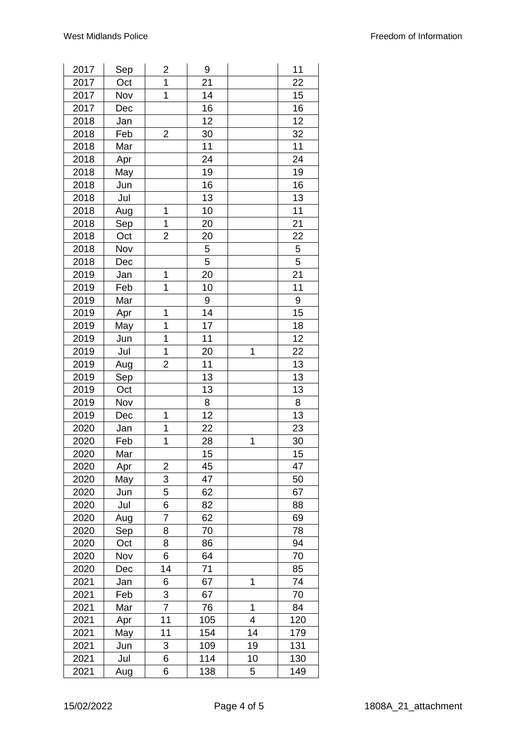| 2017 | Sep | 2                       | 9   |             | 11  |
|------|-----|-------------------------|-----|-------------|-----|
| 2017 | Oct | 1                       | 21  |             | 22  |
| 2017 | Nov | $\mathbf 1$             | 14  |             | 15  |
| 2017 | Dec |                         | 16  |             | 16  |
| 2018 | Jan |                         | 12  |             | 12  |
| 2018 | Feb | $\overline{2}$          | 30  |             | 32  |
| 2018 | Mar |                         | 11  |             | 11  |
| 2018 | Apr |                         | 24  |             | 24  |
| 2018 | May |                         | 19  |             | 19  |
| 2018 | Jun |                         | 16  |             | 16  |
| 2018 | Jul |                         | 13  |             | 13  |
| 2018 | Aug | 1                       | 10  |             | 11  |
| 2018 | Sep | 1                       | 20  |             | 21  |
| 2018 | Oct | $\overline{\mathbf{c}}$ | 20  |             | 22  |
| 2018 | Nov |                         | 5   |             | 5   |
| 2018 | Dec |                         | 5   |             | 5   |
|      |     | 1                       |     |             | 21  |
| 2019 | Jan |                         | 20  |             |     |
| 2019 | Feb | 1                       | 10  |             | 11  |
| 2019 | Mar |                         | 9   |             | 9   |
| 2019 | Apr | 1                       | 14  |             | 15  |
| 2019 | May | 1                       | 17  |             | 18  |
| 2019 | Jun | 1                       | 11  |             | 12  |
| 2019 | Jul | 1                       | 20  | 1           | 22  |
| 2019 | Aug | $\overline{2}$          | 11  |             | 13  |
| 2019 | Sep |                         | 13  |             | 13  |
| 2019 | Oct |                         | 13  |             | 13  |
| 2019 | Nov |                         | 8   |             | 8   |
| 2019 | Dec | 1                       | 12  |             | 13  |
| 2020 | Jan | 1                       | 22  |             | 23  |
| 2020 | Feb | 1                       | 28  | $\mathbf 1$ | 30  |
| 2020 | Mar |                         | 15  |             | 15  |
| 2020 | Apr | 2                       | 45  |             | 47  |
| 2020 | May | 3                       | 47  |             | 50  |
| 2020 | Jun | 5                       | 62  |             | 67  |
| 2020 | Jul | 6                       | 82  |             | 88  |
| 2020 | Aug | $\overline{7}$          | 62  |             | 69  |
| 2020 | Sep | 8                       | 70  |             | 78  |
| 2020 | Oct | 8                       | 86  |             | 94  |
| 2020 | Nov | 6                       | 64  |             | 70  |
| 2020 | Dec | 14                      | 71  |             | 85  |
| 2021 | Jan | 6                       | 67  | 1           | 74  |
| 2021 | Feb | 3                       | 67  |             | 70  |
| 2021 | Mar | $\overline{7}$          | 76  | 1           | 84  |
| 2021 | Apr | 11                      | 105 | 4           | 120 |
| 2021 | May | 11                      | 154 | 14          | 179 |
| 2021 | Jun | 3                       | 109 | 19          | 131 |
| 2021 | Jul | 6                       | 114 | 10          | 130 |
| 2021 | Aug | 6                       | 138 | 5           | 149 |
|      |     |                         |     |             |     |